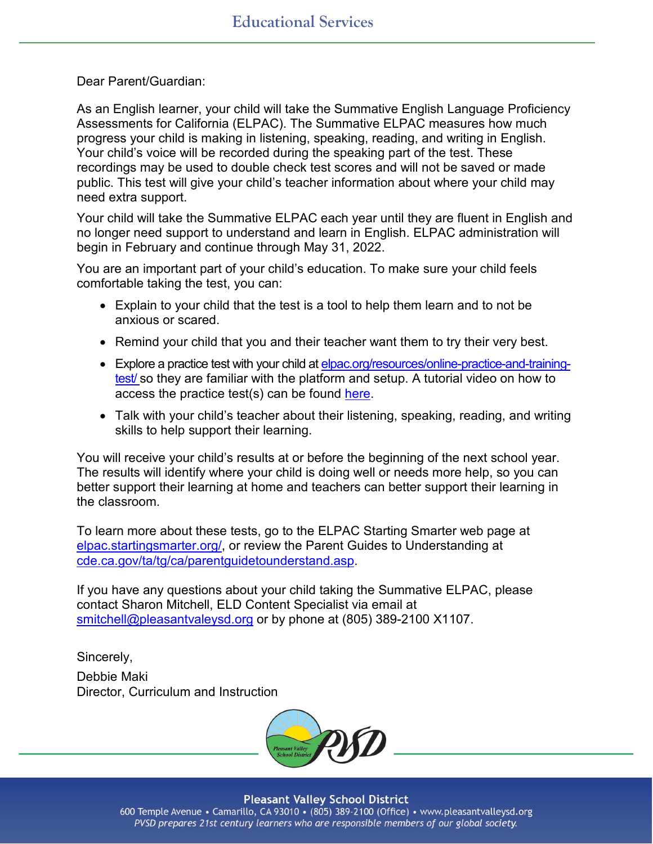Dear Parent/Guardian:

As an English learner, your child will take the Summative English Language Proficiency Assessments for California (ELPAC). The Summative ELPAC measures how much progress your child is making in listening, speaking, reading, and writing in English. Your child's voice will be recorded during the speaking part of the test. These recordings may be used to double check test scores and will not be saved or made public. This test will give your child's teacher information about where your child may need extra support.

Your child will take the Summative ELPAC each year until they are fluent in English and no longer need support to understand and learn in English. ELPAC administration will begin in February and continue through May 31, 2022.

You are an important part of your child's education. To make sure your child feels comfortable taking the test, you can:

- Explain to your child that the test is a tool to help them learn and to not be anxious or scared.
- Remind your child that you and their teacher want them to try their very best.
- Explore a practice test with your child a[t elpac.org/resources/online-practice-and-training](https://www.elpac.org/resources/online-practice-and-training-test/)[test/](https://www.elpac.org/resources/online-practice-and-training-test/) so they are familiar with the platform and setup. A tutorial video on how to access the practice test(s) can be found [here.](https://drive.google.com/file/d/19Lg6HRDH9mtUxZ0l48qrMUhYApnYpeiI/view)
- Talk with your child's teacher about their listening, speaking, reading, and writing skills to help support their learning.

You will receive your child's results at or before the beginning of the next school year. The results will identify where your child is doing well or needs more help, so you can better support their learning at home and teachers can better support their learning in the classroom.

To learn more about these tests, go to the ELPAC Starting Smarter web page at [elpac.startingsmarter.org/,](https://elpac.startingsmarter.org/) or review the Parent Guides to Understanding at [cde.ca.gov/ta/tg/ca/parentguidetounderstand.asp.](https://www.cde.ca.gov/ta/tg/ca/parentguidetounderstand.asp)

If you have any questions about your child taking the Summative ELPAC, please contact Sharon Mitchell, ELD Content Specialist via email at [smitchell@pleasantvaleysd.org](mailto:smitchell@pleasantvaleysd.org) or by phone at (805) 389-2100 X1107.

Sincerely, Debbie Maki Director, Curriculum and Instruction



**Pleasant Valley School District** 600 Temple Avenue • Camarillo, CA 93010 • (805) 389-2100 (Office) • www.pleasantvalleysd.org PVSD prepares 21st century learners who are responsible members of our global society.